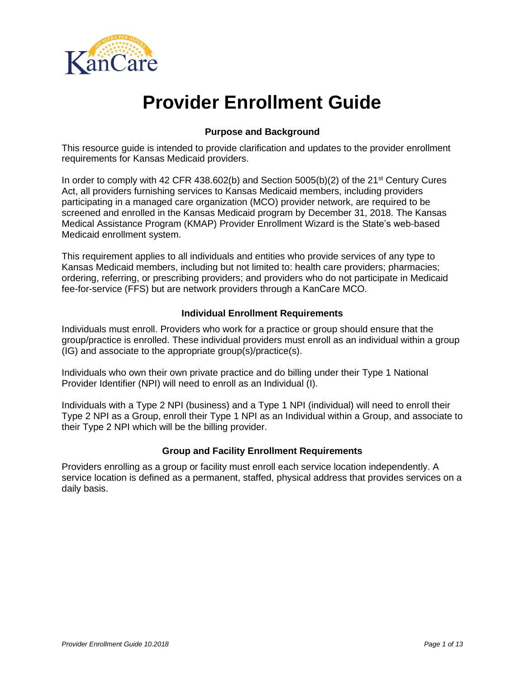

# **Provider Enrollment Guide**

## **Purpose and Background**

This resource guide is intended to provide clarification and updates to the provider enrollment requirements for Kansas Medicaid providers.

In order to comply with 42 CFR 438.602(b) and Section 5005(b)(2) of the  $21<sup>st</sup>$  Century Cures Act, all providers furnishing services to Kansas Medicaid members, including providers participating in a managed care organization (MCO) provider network, are required to be screened and enrolled in the Kansas Medicaid program by December 31, 2018. The Kansas Medical Assistance Program (KMAP) Provider Enrollment Wizard is the State's web-based Medicaid enrollment system.

This requirement applies to all individuals and entities who provide services of any type to Kansas Medicaid members, including but not limited to: health care providers; pharmacies; ordering, referring, or prescribing providers; and providers who do not participate in Medicaid fee-for-service (FFS) but are network providers through a KanCare MCO.

### **Individual Enrollment Requirements**

Individuals must enroll. Providers who work for a practice or group should ensure that the group/practice is enrolled. These individual providers must enroll as an individual within a group (IG) and associate to the appropriate group(s)/practice(s).

Individuals who own their own private practice and do billing under their Type 1 National Provider Identifier (NPI) will need to enroll as an Individual (I).

Individuals with a Type 2 NPI (business) and a Type 1 NPI (individual) will need to enroll their Type 2 NPI as a Group, enroll their Type 1 NPI as an Individual within a Group, and associate to their Type 2 NPI which will be the billing provider.

#### **Group and Facility Enrollment Requirements**

Providers enrolling as a group or facility must enroll each service location independently. A service location is defined as a permanent, staffed, physical address that provides services on a daily basis.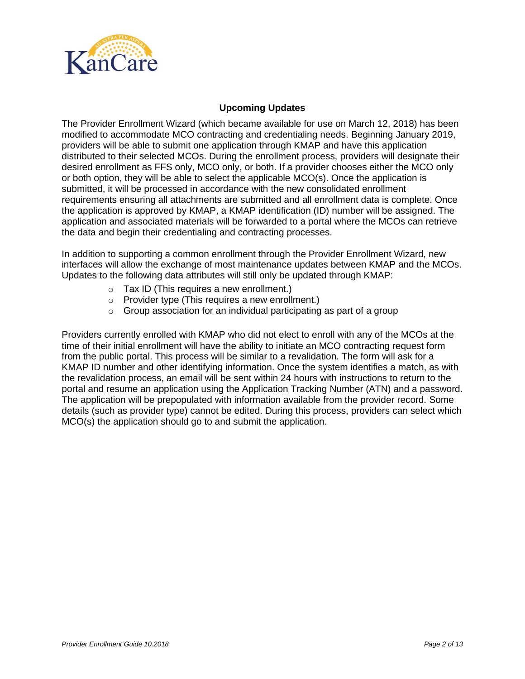

## **Upcoming Updates**

The Provider Enrollment Wizard (which became available for use on March 12, 2018) has been modified to accommodate MCO contracting and credentialing needs. Beginning January 2019, providers will be able to submit one application through KMAP and have this application distributed to their selected MCOs. During the enrollment process, providers will designate their desired enrollment as FFS only, MCO only, or both. If a provider chooses either the MCO only or both option, they will be able to select the applicable MCO(s). Once the application is submitted, it will be processed in accordance with the new consolidated enrollment requirements ensuring all attachments are submitted and all enrollment data is complete. Once the application is approved by KMAP, a KMAP identification (ID) number will be assigned. The application and associated materials will be forwarded to a portal where the MCOs can retrieve the data and begin their credentialing and contracting processes.

In addition to supporting a common enrollment through the Provider Enrollment Wizard, new interfaces will allow the exchange of most maintenance updates between KMAP and the MCOs. Updates to the following data attributes will still only be updated through KMAP:

- o Tax ID (This requires a new enrollment.)
- o Provider type (This requires a new enrollment.)
- $\circ$  Group association for an individual participating as part of a group

Providers currently enrolled with KMAP who did not elect to enroll with any of the MCOs at the time of their initial enrollment will have the ability to initiate an MCO contracting request form from the public portal. This process will be similar to a revalidation. The form will ask for a KMAP ID number and other identifying information. Once the system identifies a match, as with the revalidation process, an email will be sent within 24 hours with instructions to return to the portal and resume an application using the Application Tracking Number (ATN) and a password. The application will be prepopulated with information available from the provider record. Some details (such as provider type) cannot be edited. During this process, providers can select which MCO(s) the application should go to and submit the application.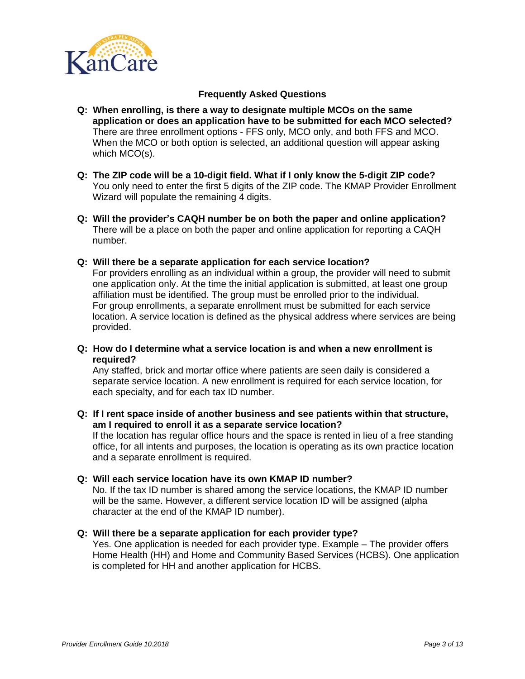

- **Q: When enrolling, is there a way to designate multiple MCOs on the same application or does an application have to be submitted for each MCO selected?**  There are three enrollment options - FFS only, MCO only, and both FFS and MCO. When the MCO or both option is selected, an additional question will appear asking which MCO(s).
- **Q: The ZIP code will be a 10-digit field. What if I only know the 5-digit ZIP code?** You only need to enter the first 5 digits of the ZIP code. The KMAP Provider Enrollment Wizard will populate the remaining 4 digits.
- **Q: Will the provider's CAQH number be on both the paper and online application?** There will be a place on both the paper and online application for reporting a CAQH number.
- **Q: Will there be a separate application for each service location?**

For providers enrolling as an individual within a group, the provider will need to submit one application only. At the time the initial application is submitted, at least one group affiliation must be identified. The group must be enrolled prior to the individual. For group enrollments, a separate enrollment must be submitted for each service location. A service location is defined as the physical address where services are being provided.

**Q: How do I determine what a service location is and when a new enrollment is required?** 

Any staffed, brick and mortar office where patients are seen daily is considered a separate service location. A new enrollment is required for each service location, for each specialty, and for each tax ID number.

**Q: If I rent space inside of another business and see patients within that structure, am I required to enroll it as a separate service location?**

If the location has regular office hours and the space is rented in lieu of a free standing office, for all intents and purposes, the location is operating as its own practice location and a separate enrollment is required.

**Q: Will each service location have its own KMAP ID number?**  No. If the tax ID number is shared among the service locations, the KMAP ID number will be the same. However, a different service location ID will be assigned (alpha character at the end of the KMAP ID number).

#### **Q: Will there be a separate application for each provider type?**

Yes. One application is needed for each provider type. Example – The provider offers Home Health (HH) and Home and Community Based Services (HCBS). One application is completed for HH and another application for HCBS.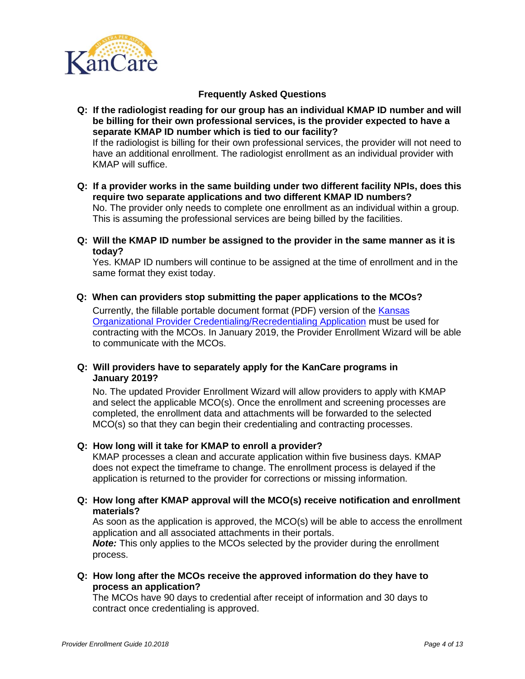

**Q: If the radiologist reading for our group has an individual KMAP ID number and will be billing for their own professional services, is the provider expected to have a separate KMAP ID number which is tied to our facility?** If the radiologist is billing for their own professional services, the provider will not need to have an additional enrollment. The radiologist enrollment as an individual provider with KMAP will suffice.

- **Q: If a provider works in the same building under two different facility NPIs, does this require two separate applications and two different KMAP ID numbers?** No. The provider only needs to complete one enrollment as an individual within a group. This is assuming the professional services are being billed by the facilities.
- **Q: Will the KMAP ID number be assigned to the provider in the same manner as it is today?**

Yes. KMAP ID numbers will continue to be assigned at the time of enrollment and in the same format they exist today.

**Q: When can providers stop submitting the paper applications to the MCOs?**

Currently, the fillable portable document format (PDF) version of the [Kansas](https://www.kmap-state-ks.us/Documents/Content/KanCare/KS_PE_App.pdf)  [Organizational Provider Credentialing/Recredentialing Application](https://www.kmap-state-ks.us/Documents/Content/KanCare/KS_PE_App.pdf) must be used for contracting with the MCOs. In January 2019, the Provider Enrollment Wizard will be able to communicate with the MCOs.

**Q: Will providers have to separately apply for the KanCare programs in January 2019?**

No. The updated Provider Enrollment Wizard will allow providers to apply with KMAP and select the applicable MCO(s). Once the enrollment and screening processes are completed, the enrollment data and attachments will be forwarded to the selected MCO(s) so that they can begin their credentialing and contracting processes.

#### **Q: How long will it take for KMAP to enroll a provider?**

KMAP processes a clean and accurate application within five business days. KMAP does not expect the timeframe to change. The enrollment process is delayed if the application is returned to the provider for corrections or missing information.

**Q: How long after KMAP approval will the MCO(s) receive notification and enrollment materials?**

As soon as the application is approved, the MCO(s) will be able to access the enrollment application and all associated attachments in their portals.

*Note:* This only applies to the MCOs selected by the provider during the enrollment process.

**Q: How long after the MCOs receive the approved information do they have to process an application?**

The MCOs have 90 days to credential after receipt of information and 30 days to contract once credentialing is approved.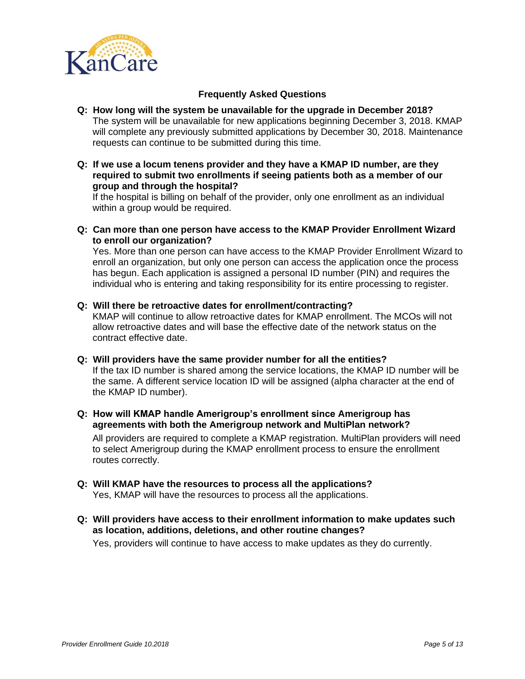

#### **Q: How long will the system be unavailable for the upgrade in December 2018?** The system will be unavailable for new applications beginning December 3, 2018. KMAP will complete any previously submitted applications by December 30, 2018. Maintenance requests can continue to be submitted during this time.

#### **Q: If we use a locum tenens provider and they have a KMAP ID number, are they required to submit two enrollments if seeing patients both as a member of our group and through the hospital?**

If the hospital is billing on behalf of the provider, only one enrollment as an individual within a group would be required.

**Q: Can more than one person have access to the KMAP Provider Enrollment Wizard to enroll our organization?**

Yes. More than one person can have access to the KMAP Provider Enrollment Wizard to enroll an organization, but only one person can access the application once the process has begun. Each application is assigned a personal ID number (PIN) and requires the individual who is entering and taking responsibility for its entire processing to register.

**Q: Will there be retroactive dates for enrollment/contracting?**

KMAP will continue to allow retroactive dates for KMAP enrollment. The MCOs will not allow retroactive dates and will base the effective date of the network status on the contract effective date.

**Q: Will providers have the same provider number for all the entities?**

If the tax ID number is shared among the service locations, the KMAP ID number will be the same. A different service location ID will be assigned (alpha character at the end of the KMAP ID number).

**Q: How will KMAP handle Amerigroup's enrollment since Amerigroup has agreements with both the Amerigroup network and MultiPlan network?**

All providers are required to complete a KMAP registration. MultiPlan providers will need to select Amerigroup during the KMAP enrollment process to ensure the enrollment routes correctly.

- **Q: Will KMAP have the resources to process all the applications?** Yes, KMAP will have the resources to process all the applications.
- **Q: Will providers have access to their enrollment information to make updates such as location, additions, deletions, and other routine changes?**

Yes, providers will continue to have access to make updates as they do currently.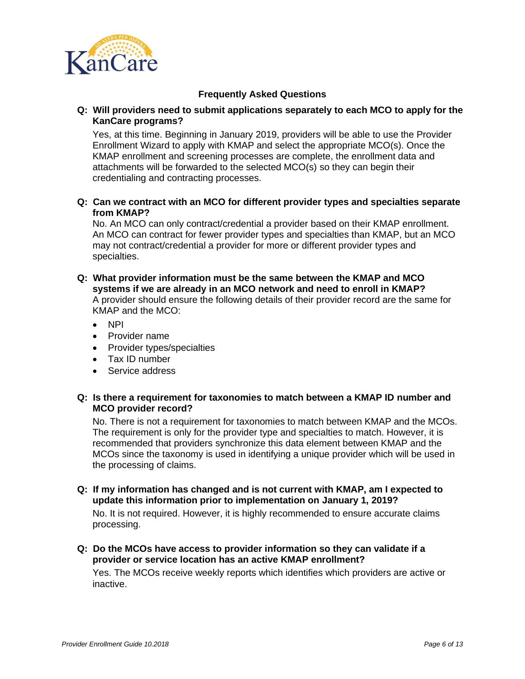

**Q: Will providers need to submit applications separately to each MCO to apply for the KanCare programs?**

Yes, at this time. Beginning in January 2019, providers will be able to use the Provider Enrollment Wizard to apply with KMAP and select the appropriate MCO(s). Once the KMAP enrollment and screening processes are complete, the enrollment data and attachments will be forwarded to the selected MCO(s) so they can begin their credentialing and contracting processes.

**Q: Can we contract with an MCO for different provider types and specialties separate from KMAP?**

No. An MCO can only contract/credential a provider based on their KMAP enrollment. An MCO can contract for fewer provider types and specialties than KMAP, but an MCO may not contract/credential a provider for more or different provider types and specialties.

- **Q: What provider information must be the same between the KMAP and MCO systems if we are already in an MCO network and need to enroll in KMAP?** A provider should ensure the following details of their provider record are the same for KMAP and the MCO:
	- NPI
	- Provider name
	- Provider types/specialties
	- Tax ID number
	- Service address

#### **Q: Is there a requirement for taxonomies to match between a KMAP ID number and MCO provider record?**

No. There is not a requirement for taxonomies to match between KMAP and the MCOs. The requirement is only for the provider type and specialties to match. However, it is recommended that providers synchronize this data element between KMAP and the MCOs since the taxonomy is used in identifying a unique provider which will be used in the processing of claims.

**Q: If my information has changed and is not current with KMAP, am I expected to update this information prior to implementation on January 1, 2019?**

No. It is not required. However, it is highly recommended to ensure accurate claims processing.

**Q: Do the MCOs have access to provider information so they can validate if a provider or service location has an active KMAP enrollment?**

Yes. The MCOs receive weekly reports which identifies which providers are active or inactive.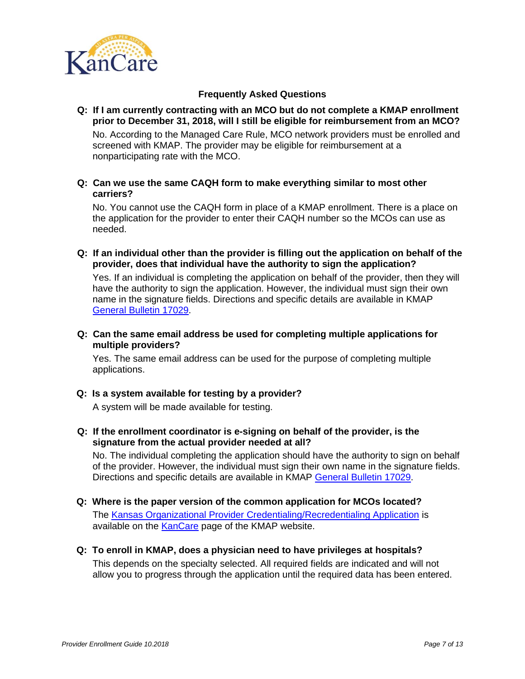

**Q: If I am currently contracting with an MCO but do not complete a KMAP enrollment prior to December 31, 2018, will I still be eligible for reimbursement from an MCO?** 

No. According to the Managed Care Rule, MCO network providers must be enrolled and screened with KMAP. The provider may be eligible for reimbursement at a nonparticipating rate with the MCO.

**Q: Can we use the same CAQH form to make everything similar to most other carriers?**

No. You cannot use the CAQH form in place of a KMAP enrollment. There is a place on the application for the provider to enter their CAQH number so the MCOs can use as needed.

**Q: If an individual other than the provider is filling out the application on behalf of the provider, does that individual have the authority to sign the application?**

Yes. If an individual is completing the application on behalf of the provider, then they will have the authority to sign the application. However, the individual must sign their own name in the signature fields. Directions and specific details are available in KMAP [General Bulletin 17029.](https://www.kmap-state-ks.us/Documents/Content/Bulletins/17029%20-%20General%20-%20PE_Electronic_KDHE.pdf)

**Q: Can the same email address be used for completing multiple applications for multiple providers?**

Yes. The same email address can be used for the purpose of completing multiple applications.

#### **Q: Is a system available for testing by a provider?**

A system will be made available for testing.

**Q: If the enrollment coordinator is e-signing on behalf of the provider, is the signature from the actual provider needed at all?**

No. The individual completing the application should have the authority to sign on behalf of the provider. However, the individual must sign their own name in the signature fields. Directions and specific details are available in KMAP [General Bulletin 17029.](https://www.kmap-state-ks.us/Documents/Content/Bulletins/17029%20-%20General%20-%20PE_Electronic_KDHE.pdf)

**Q: Where is the paper version of the common application for MCOs located?**

The [Kansas Organizational Provider Credentialing/Recredentialing Application](https://www.kmap-state-ks.us/Documents/Content/KanCare/KS_PE_App.pdf) is available on the [KanCare](https://www.kmap-state-ks.us/Public/KanCare/Kancare.asp) page of the KMAP website.

**Q: To enroll in KMAP, does a physician need to have privileges at hospitals?**

This depends on the specialty selected. All required fields are indicated and will not allow you to progress through the application until the required data has been entered.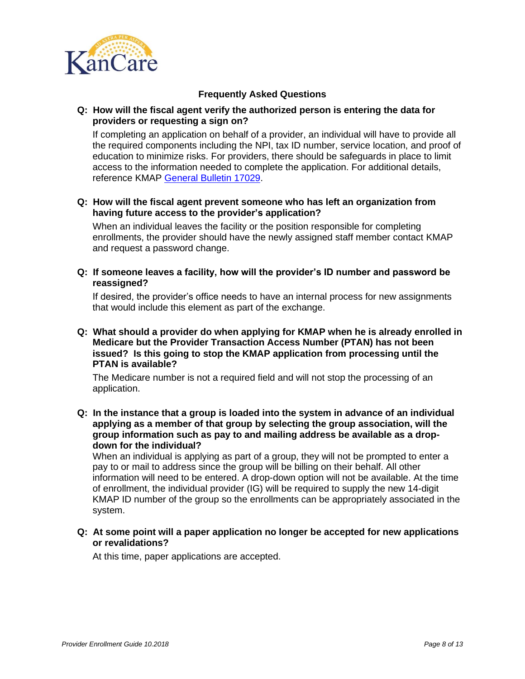

#### **Q: How will the fiscal agent verify the authorized person is entering the data for providers or requesting a sign on?**

If completing an application on behalf of a provider, an individual will have to provide all the required components including the NPI, tax ID number, service location, and proof of education to minimize risks. For providers, there should be safeguards in place to limit access to the information needed to complete the application. For additional details, reference KMAP [General Bulletin 17029.](https://www.kmap-state-ks.us/Documents/Content/Bulletins/17029%20-%20General%20-%20PE_Electronic_KDHE.pdf)

#### **Q: How will the fiscal agent prevent someone who has left an organization from having future access to the provider's application?**

When an individual leaves the facility or the position responsible for completing enrollments, the provider should have the newly assigned staff member contact KMAP and request a password change.

**Q: If someone leaves a facility, how will the provider's ID number and password be reassigned?**

If desired, the provider's office needs to have an internal process for new assignments that would include this element as part of the exchange.

**Q: What should a provider do when applying for KMAP when he is already enrolled in Medicare but the Provider Transaction Access Number (PTAN) has not been issued? Is this going to stop the KMAP application from processing until the PTAN is available?**

The Medicare number is not a required field and will not stop the processing of an application.

**Q: In the instance that a group is loaded into the system in advance of an individual applying as a member of that group by selecting the group association, will the group information such as pay to and mailing address be available as a dropdown for the individual?**

When an individual is applying as part of a group, they will not be prompted to enter a pay to or mail to address since the group will be billing on their behalf. All other information will need to be entered. A drop-down option will not be available. At the time of enrollment, the individual provider (IG) will be required to supply the new 14-digit KMAP ID number of the group so the enrollments can be appropriately associated in the system.

**Q: At some point will a paper application no longer be accepted for new applications or revalidations?**

At this time, paper applications are accepted.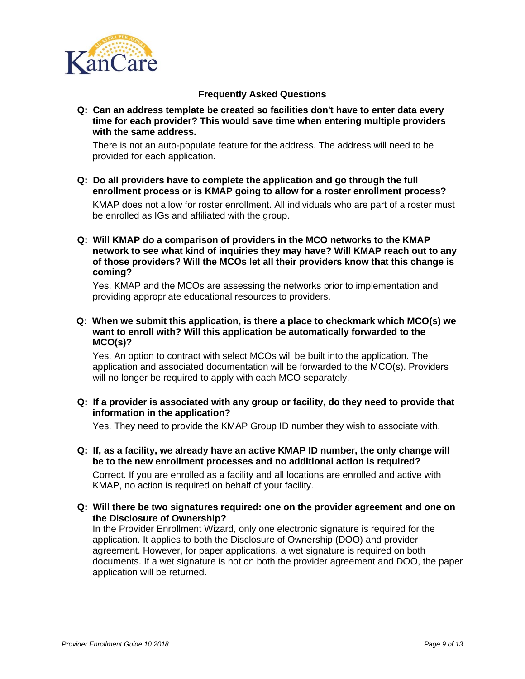

**Q: Can an address template be created so facilities don't have to enter data every time for each provider? This would save time when entering multiple providers with the same address.**

There is not an auto-populate feature for the address. The address will need to be provided for each application.

**Q: Do all providers have to complete the application and go through the full enrollment process or is KMAP going to allow for a roster enrollment process?**

KMAP does not allow for roster enrollment. All individuals who are part of a roster must be enrolled as IGs and affiliated with the group.

**Q: Will KMAP do a comparison of providers in the MCO networks to the KMAP network to see what kind of inquiries they may have? Will KMAP reach out to any of those providers? Will the MCOs let all their providers know that this change is coming?**

Yes. KMAP and the MCOs are assessing the networks prior to implementation and providing appropriate educational resources to providers.

**Q: When we submit this application, is there a place to checkmark which MCO(s) we want to enroll with? Will this application be automatically forwarded to the MCO(s)?**

Yes. An option to contract with select MCOs will be built into the application. The application and associated documentation will be forwarded to the MCO(s). Providers will no longer be required to apply with each MCO separately.

### **Q: If a provider is associated with any group or facility, do they need to provide that information in the application?**

Yes. They need to provide the KMAP Group ID number they wish to associate with.

- **Q: If, as a facility, we already have an active KMAP ID number, the only change will be to the new enrollment processes and no additional action is required?**  Correct. If you are enrolled as a facility and all locations are enrolled and active with KMAP, no action is required on behalf of your facility.
- **Q: Will there be two signatures required: one on the provider agreement and one on the Disclosure of Ownership?**

In the Provider Enrollment Wizard, only one electronic signature is required for the application. It applies to both the Disclosure of Ownership (DOO) and provider agreement. However, for paper applications, a wet signature is required on both documents. If a wet signature is not on both the provider agreement and DOO, the paper application will be returned.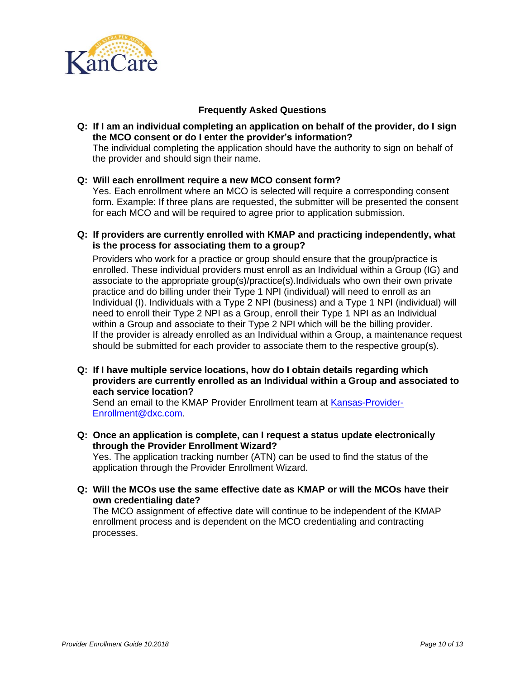

**Q: If I am an individual completing an application on behalf of the provider, do I sign the MCO consent or do I enter the provider's information?**

The individual completing the application should have the authority to sign on behalf of the provider and should sign their name.

### **Q: Will each enrollment require a new MCO consent form?**

Yes. Each enrollment where an MCO is selected will require a corresponding consent form. Example: If three plans are requested, the submitter will be presented the consent for each MCO and will be required to agree prior to application submission.

**Q: If providers are currently enrolled with KMAP and practicing independently, what is the process for associating them to a group?** 

Providers who work for a practice or group should ensure that the group/practice is enrolled. These individual providers must enroll as an Individual within a Group (IG) and associate to the appropriate group(s)/practice(s).Individuals who own their own private practice and do billing under their Type 1 NPI (individual) will need to enroll as an Individual (I). Individuals with a Type 2 NPI (business) and a Type 1 NPI (individual) will need to enroll their Type 2 NPI as a Group, enroll their Type 1 NPI as an Individual within a Group and associate to their Type 2 NPI which will be the billing provider. If the provider is already enrolled as an Individual within a Group, a maintenance request should be submitted for each provider to associate them to the respective group(s).

**Q: If I have multiple service locations, how do I obtain details regarding which providers are currently enrolled as an Individual within a Group and associated to each service location?**

Send an email to the KMAP Provider Enrollment team at [Kansas-Provider-](mailto:Kansas-Provider-Enrollment@dxc.com)[Enrollment@dxc.com.](mailto:Kansas-Provider-Enrollment@dxc.com)

**Q: Once an application is complete, can I request a status update electronically through the Provider Enrollment Wizard?**

Yes. The application tracking number (ATN) can be used to find the status of the application through the Provider Enrollment Wizard.

**Q: Will the MCOs use the same effective date as KMAP or will the MCOs have their own credentialing date?**

The MCO assignment of effective date will continue to be independent of the KMAP enrollment process and is dependent on the MCO credentialing and contracting processes.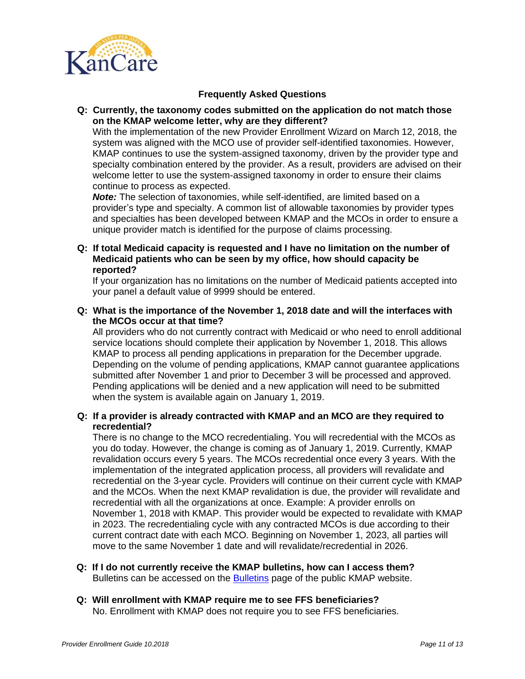

#### **Q: Currently, the taxonomy codes submitted on the application do not match those on the KMAP welcome letter, why are they different?**

With the implementation of the new Provider Enrollment Wizard on March 12, 2018, the system was aligned with the MCO use of provider self-identified taxonomies. However, KMAP continues to use the system-assigned taxonomy, driven by the provider type and specialty combination entered by the provider. As a result, providers are advised on their welcome letter to use the system-assigned taxonomy in order to ensure their claims continue to process as expected.

*Note:* The selection of taxonomies, while self-identified, are limited based on a provider's type and specialty. A common list of allowable taxonomies by provider types and specialties has been developed between KMAP and the MCOs in order to ensure a unique provider match is identified for the purpose of claims processing.

**Q: If total Medicaid capacity is requested and I have no limitation on the number of Medicaid patients who can be seen by my office, how should capacity be reported?**

If your organization has no limitations on the number of Medicaid patients accepted into your panel a default value of 9999 should be entered.

**Q: What is the importance of the November 1, 2018 date and will the interfaces with the MCOs occur at that time?**

All providers who do not currently contract with Medicaid or who need to enroll additional service locations should complete their application by November 1, 2018. This allows KMAP to process all pending applications in preparation for the December upgrade. Depending on the volume of pending applications, KMAP cannot guarantee applications submitted after November 1 and prior to December 3 will be processed and approved. Pending applications will be denied and a new application will need to be submitted when the system is available again on January 1, 2019.

### **Q: If a provider is already contracted with KMAP and an MCO are they required to recredential?**

There is no change to the MCO recredentialing. You will recredential with the MCOs as you do today. However, the change is coming as of January 1, 2019. Currently, KMAP revalidation occurs every 5 years. The MCOs recredential once every 3 years. With the implementation of the integrated application process, all providers will revalidate and recredential on the 3-year cycle. Providers will continue on their current cycle with KMAP and the MCOs. When the next KMAP revalidation is due, the provider will revalidate and recredential with all the organizations at once. Example: A provider enrolls on November 1, 2018 with KMAP. This provider would be expected to revalidate with KMAP in 2023. The recredentialing cycle with any contracted MCOs is due according to their current contract date with each MCO. Beginning on November 1, 2023, all parties will move to the same November 1 date and will revalidate/recredential in 2026.

#### **Q: If I do not currently receive the KMAP bulletins, how can I access them?** Bulletins can be accessed on the [Bulletins](https://www.kmap-state-ks.us/Public/bulletins/bulletinsearch.asp) page of the public KMAP website.

**Q: Will enrollment with KMAP require me to see FFS beneficiaries?** No. Enrollment with KMAP does not require you to see FFS beneficiaries.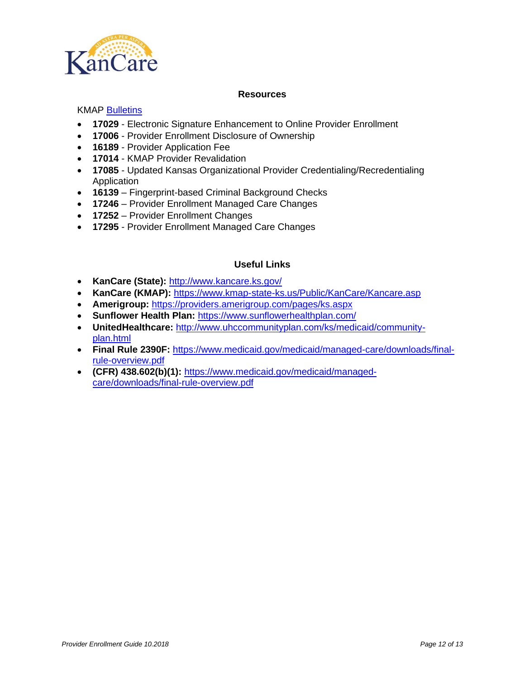

### **Resources**

### KMAP [Bulletins](https://www.kmap-state-ks.us/Public/bulletins/bulletinsearch.asp)

- **17029** Electronic Signature Enhancement to Online Provider Enrollment
- **17006** Provider Enrollment Disclosure of Ownership
- **16189** Provider Application Fee
- **17014** KMAP Provider Revalidation
- **17085** Updated Kansas Organizational Provider Credentialing/Recredentialing Application
- **16139** Fingerprint-based Criminal Background Checks
- **17246** Provider Enrollment Managed Care Changes
- **17252** Provider Enrollment Changes
- **17295** [Provider Enrollment Managed Care Changes](https://www.kmap-state-ks.us/Public/bulletins/nowhere)

#### **Useful Links**

- **KanCare (State):** <http://www.kancare.ks.gov/>
- **KanCare (KMAP):** <https://www.kmap-state-ks.us/Public/KanCare/Kancare.asp>
- **Amerigroup:** <https://providers.amerigroup.com/pages/ks.aspx>
- **Sunflower Health Plan:** <https://www.sunflowerhealthplan.com/>
- **UnitedHealthcare:** [http://www.uhccommunityplan.com/ks/medicaid/community](http://www.uhccommunityplan.com/ks/medicaid/community-plan.html)[plan.html](http://www.uhccommunityplan.com/ks/medicaid/community-plan.html)
- **Final Rule 2390F:** [https://www.medicaid.gov/medicaid/managed-care/downloads/final](https://www.medicaid.gov/medicaid/managed-care/downloads/final-rule-overview.pdf)[rule-overview.pdf](https://www.medicaid.gov/medicaid/managed-care/downloads/final-rule-overview.pdf)
- **(CFR) 438.602(b)(1):** [https://www.medicaid.gov/medicaid/managed](https://www.medicaid.gov/medicaid/managed-care/downloads/final-rule-overview.pdf)[care/downloads/final-rule-overview.pdf](https://www.medicaid.gov/medicaid/managed-care/downloads/final-rule-overview.pdf)